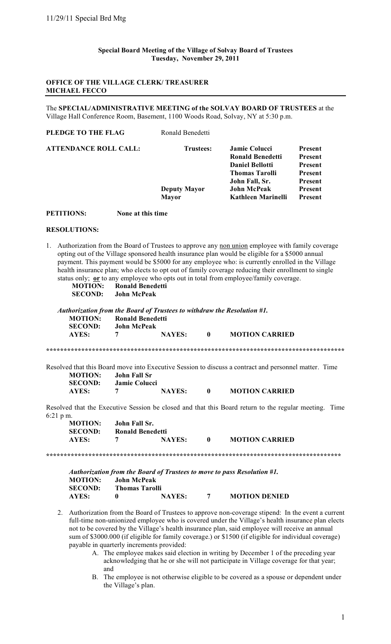#### **OFFICE OF THE VILLAGE CLERK/ TREASURER MICHAEL FECCO**

The **SPECIAL/ADMINISTRATIVE MEETING of the SOLVAY BOARD OF TRUSTEES** at the Village Hall Conference Room, Basement, 1100 Woods Road, Solvay, NY at 5:30 p.m.

| Ronald Benedetti    |                         |                |
|---------------------|-------------------------|----------------|
| <b>Trustees:</b>    | <b>Jamie Colucci</b>    | Present        |
|                     | <b>Ronald Benedetti</b> | Present        |
|                     | <b>Daniel Bellotti</b>  | Present        |
|                     | <b>Thomas Tarolli</b>   | Present        |
|                     | John Fall, Sr.          | Present        |
| <b>Deputy Mayor</b> | <b>John McPeak</b>      | <b>Present</b> |
| <b>Mayor</b>        | Kathleen Marinelli      | <b>Present</b> |
|                     |                         |                |

**PETITIONS: None at this time**

#### **RESOLUTIONS:**

1. Authorization from the Board of Trustees to approve any non union employee with family coverage opting out of the Village sponsored health insurance plan would be eligible for a \$5000 annual payment. This payment would be \$5000 for any employee who: is currently enrolled in the Village health insurance plan; who elects to opt out of family coverage reducing their enrollment to single status only; **or** to any employee who opts out in total from employee/family coverage.

|                | <u> 11 — 12 13 13 13 13 14 15 16 17 18 1</u> |
|----------------|----------------------------------------------|
| <b>MOTION:</b> | Ronald Benedetti                             |
| <b>SECOND:</b> | John McPeak                                  |

|                     |                                  | Authorization from the Board of Trustees to withdraw the Resolution #1. |               |          |                                                                                                       |
|---------------------|----------------------------------|-------------------------------------------------------------------------|---------------|----------|-------------------------------------------------------------------------------------------------------|
|                     | <b>MOTION:</b><br><b>SECOND:</b> | <b>Ronald Benedetti</b><br><b>John McPeak</b>                           |               |          |                                                                                                       |
|                     | AYES:                            | 7                                                                       | <b>NAYES:</b> | $\bf{0}$ | <b>MOTION CARRIED</b>                                                                                 |
|                     |                                  |                                                                         |               |          |                                                                                                       |
|                     |                                  |                                                                         |               |          | Resolved that this Board move into Executive Session to discuss a contract and personnel matter. Time |
|                     | <b>MOTION:</b>                   | <b>John Fall Sr</b>                                                     |               |          |                                                                                                       |
|                     | <b>SECOND:</b>                   | Jamie Colucci                                                           |               |          |                                                                                                       |
|                     | AYES:                            | 7                                                                       | <b>NAYES:</b> | $\bf{0}$ | <b>MOTION CARRIED</b>                                                                                 |
|                     |                                  |                                                                         |               |          | Resolved that the Executive Session be closed and that this Board return to the regular meeting. Time |
| $6:21 \text{ p m}.$ |                                  |                                                                         |               |          |                                                                                                       |
|                     | <b>MOTION:</b>                   | John Fall Sr.                                                           |               |          |                                                                                                       |
|                     | CDOND                            | $\mathbf{R}$ iin in                                                     |               |          |                                                                                                       |

| MOTION:        | John Fall Sr. |                  |                       |  |
|----------------|---------------|------------------|-----------------------|--|
| <b>SECOND:</b> |               | Ronald Benedetti |                       |  |
| AYES:          |               | <b>NAYES:</b>    | <b>MOTION CARRIED</b> |  |

**\*\*\*\*\*\*\*\*\*\*\*\*\*\*\*\*\*\*\*\*\*\*\*\*\*\*\*\*\*\*\*\*\*\*\*\*\*\*\*\*\*\*\*\*\*\*\*\*\*\*\*\*\*\*\*\*\*\*\*\*\*\*\*\*\*\*\*\*\*\*\*\*\*\*\*\*\*\*\*\*\*\*\*\***

|                |                       |               |                | Authorization from the Board of Trustees to move to pass Resolution #1. |
|----------------|-----------------------|---------------|----------------|-------------------------------------------------------------------------|
| <b>MOTION:</b> | John McPeak           |               |                |                                                                         |
| <b>SECOND:</b> | <b>Thomas Tarolli</b> |               |                |                                                                         |
| AYES:          | $\mathbf{u}$          | <b>NAYES:</b> | $\overline{7}$ | <b>MOTION DENIED</b>                                                    |

- 2. Authorization from the Board of Trustees to approve non-coverage stipend: In the event a current full-time non-unionized employee who is covered under the Village's health insurance plan elects not to be covered by the Village's health insurance plan, said employee will receive an annual sum of \$3000.000 (if eligible for family coverage.) or \$1500 (if eligible for individual coverage) payable in quarterly increments provided:
	- A. The employee makes said election in writing by December 1 of the preceding year acknowledging that he or she will not participate in Village coverage for that year; and
	- B. The employee is not otherwise eligible to be covered as a spouse or dependent under the Village's plan.